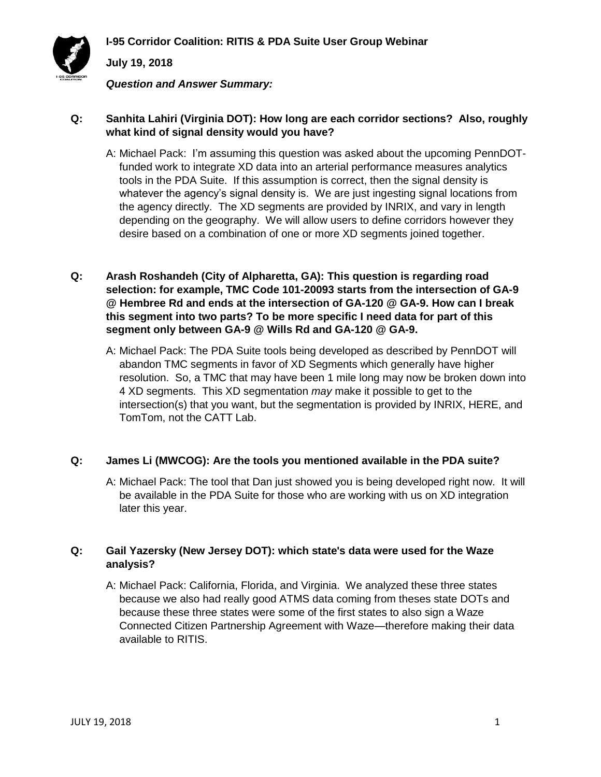

*Question and Answer Summary:*

### **Q: Sanhita Lahiri (Virginia DOT): How long are each corridor sections? Also, roughly what kind of signal density would you have?**

- A: Michael Pack: I'm assuming this question was asked about the upcoming PennDOTfunded work to integrate XD data into an arterial performance measures analytics tools in the PDA Suite. If this assumption is correct, then the signal density is whatever the agency's signal density is. We are just ingesting signal locations from the agency directly. The XD segments are provided by INRIX, and vary in length depending on the geography. We will allow users to define corridors however they desire based on a combination of one or more XD segments joined together.
- **Q: Arash Roshandeh (City of Alpharetta, GA): This question is regarding road selection: for example, TMC Code 101-20093 starts from the intersection of GA-9 @ Hembree Rd and ends at the intersection of GA-120 @ GA-9. How can I break this segment into two parts? To be more specific I need data for part of this segment only between GA-9 @ Wills Rd and GA-120 @ GA-9.**
	- A: Michael Pack: The PDA Suite tools being developed as described by PennDOT will abandon TMC segments in favor of XD Segments which generally have higher resolution. So, a TMC that may have been 1 mile long may now be broken down into 4 XD segments. This XD segmentation *may* make it possible to get to the intersection(s) that you want, but the segmentation is provided by INRIX, HERE, and TomTom, not the CATT Lab.

### **Q: James Li (MWCOG): Are the tools you mentioned available in the PDA suite?**

A: Michael Pack: The tool that Dan just showed you is being developed right now. It will be available in the PDA Suite for those who are working with us on XD integration later this year.

### **Q: Gail Yazersky (New Jersey DOT): which state's data were used for the Waze analysis?**

A: Michael Pack: California, Florida, and Virginia. We analyzed these three states because we also had really good ATMS data coming from theses state DOTs and because these three states were some of the first states to also sign a Waze Connected Citizen Partnership Agreement with Waze—therefore making their data available to RITIS.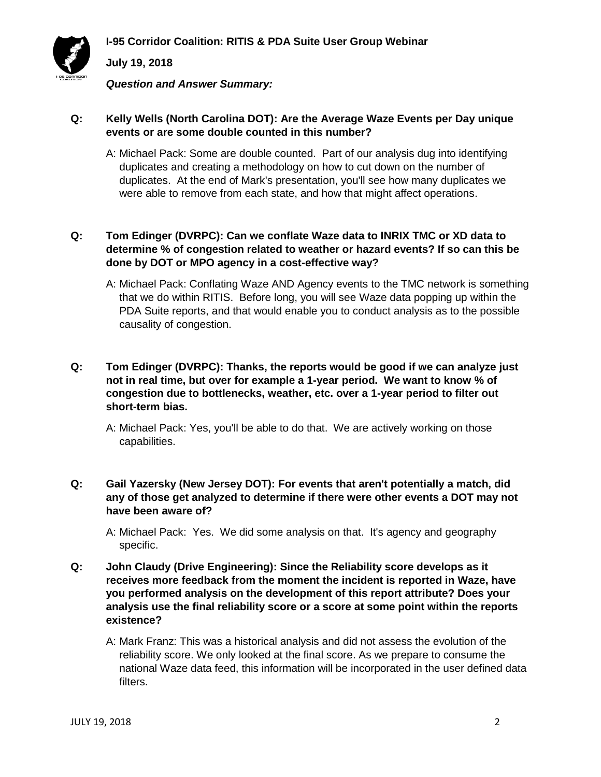

*Question and Answer Summary:*

## **Q: Kelly Wells (North Carolina DOT): Are the Average Waze Events per Day unique events or are some double counted in this number?**

A: Michael Pack: Some are double counted. Part of our analysis dug into identifying duplicates and creating a methodology on how to cut down on the number of duplicates. At the end of Mark's presentation, you'll see how many duplicates we were able to remove from each state, and how that might affect operations.

## **Q: Tom Edinger (DVRPC): Can we conflate Waze data to INRIX TMC or XD data to determine % of congestion related to weather or hazard events? If so can this be done by DOT or MPO agency in a cost-effective way?**

A: Michael Pack: Conflating Waze AND Agency events to the TMC network is something that we do within RITIS. Before long, you will see Waze data popping up within the PDA Suite reports, and that would enable you to conduct analysis as to the possible causality of congestion.

## **Q: Tom Edinger (DVRPC): Thanks, the reports would be good if we can analyze just not in real time, but over for example a 1-year period. We want to know % of congestion due to bottlenecks, weather, etc. over a 1-year period to filter out short-term bias.**

A: Michael Pack: Yes, you'll be able to do that. We are actively working on those capabilities.

### **Q: Gail Yazersky (New Jersey DOT): For events that aren't potentially a match, did any of those get analyzed to determine if there were other events a DOT may not have been aware of?**

A: Michael Pack: Yes. We did some analysis on that. It's agency and geography specific.

- **Q: John Claudy (Drive Engineering): Since the Reliability score develops as it receives more feedback from the moment the incident is reported in Waze, have you performed analysis on the development of this report attribute? Does your analysis use the final reliability score or a score at some point within the reports existence?**
	- A: Mark Franz: This was a historical analysis and did not assess the evolution of the reliability score. We only looked at the final score. As we prepare to consume the national Waze data feed, this information will be incorporated in the user defined data filters.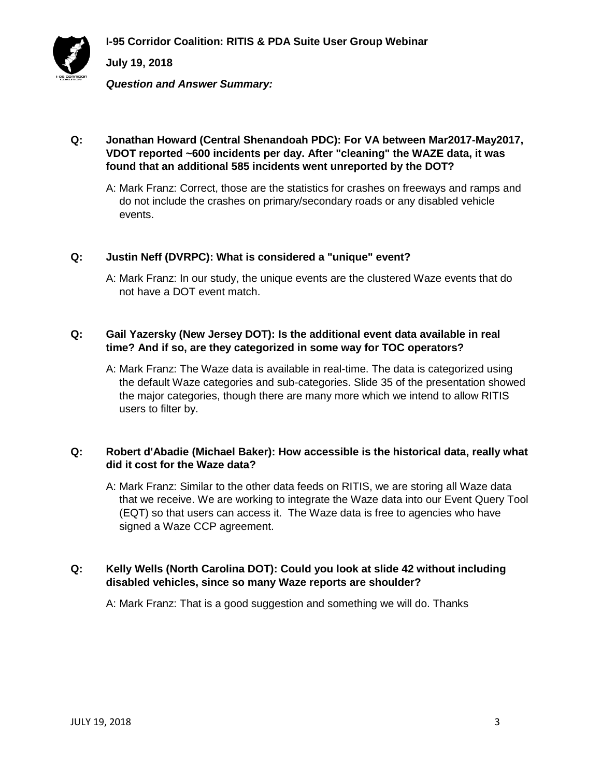

**I-95 Corridor Coalition: RITIS & PDA Suite User Group Webinar**

# **July 19, 2018**

*Question and Answer Summary:*

## **Q: Jonathan Howard (Central Shenandoah PDC): For VA between Mar2017-May2017, VDOT reported ~600 incidents per day. After "cleaning" the WAZE data, it was found that an additional 585 incidents went unreported by the DOT?**

A: Mark Franz: Correct, those are the statistics for crashes on freeways and ramps and do not include the crashes on primary/secondary roads or any disabled vehicle events.

## **Q: Justin Neff (DVRPC): What is considered a "unique" event?**

A: Mark Franz: In our study, the unique events are the clustered Waze events that do not have a DOT event match.

### **Q: Gail Yazersky (New Jersey DOT): Is the additional event data available in real time? And if so, are they categorized in some way for TOC operators?**

A: Mark Franz: The Waze data is available in real-time. The data is categorized using the default Waze categories and sub-categories. Slide 35 of the presentation showed the major categories, though there are many more which we intend to allow RITIS users to filter by.

### **Q: Robert d'Abadie (Michael Baker): How accessible is the historical data, really what did it cost for the Waze data?**

A: Mark Franz: Similar to the other data feeds on RITIS, we are storing all Waze data that we receive. We are working to integrate the Waze data into our Event Query Tool (EQT) so that users can access it. The Waze data is free to agencies who have signed a Waze CCP agreement.

### **Q: Kelly Wells (North Carolina DOT): Could you look at slide 42 without including disabled vehicles, since so many Waze reports are shoulder?**

A: Mark Franz: That is a good suggestion and something we will do. Thanks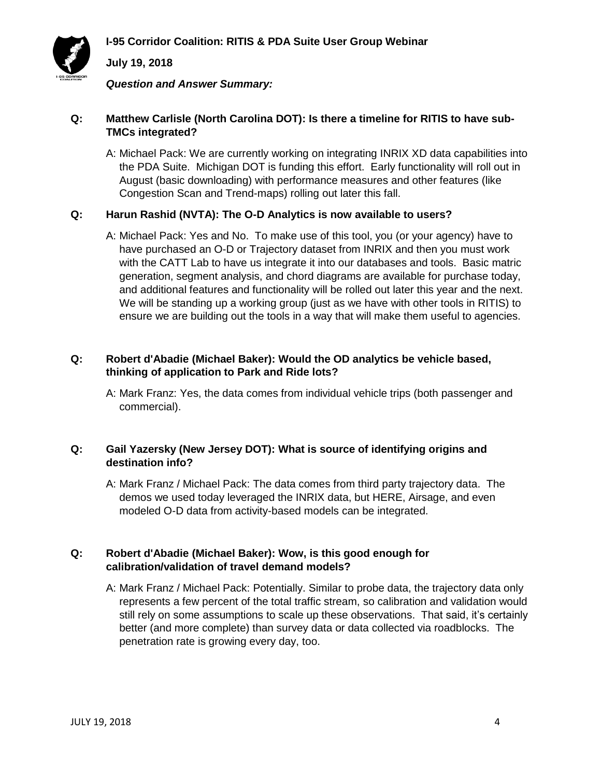

*Question and Answer Summary:*

## **Q: Matthew Carlisle (North Carolina DOT): Is there a timeline for RITIS to have sub-TMCs integrated?**

A: Michael Pack: We are currently working on integrating INRIX XD data capabilities into the PDA Suite. Michigan DOT is funding this effort. Early functionality will roll out in August (basic downloading) with performance measures and other features (like Congestion Scan and Trend-maps) rolling out later this fall.

### **Q: Harun Rashid (NVTA): The O-D Analytics is now available to users?**

A: Michael Pack: Yes and No. To make use of this tool, you (or your agency) have to have purchased an O-D or Trajectory dataset from INRIX and then you must work with the CATT Lab to have us integrate it into our databases and tools. Basic matric generation, segment analysis, and chord diagrams are available for purchase today, and additional features and functionality will be rolled out later this year and the next. We will be standing up a working group (just as we have with other tools in RITIS) to ensure we are building out the tools in a way that will make them useful to agencies.

## **Q: Robert d'Abadie (Michael Baker): Would the OD analytics be vehicle based, thinking of application to Park and Ride lots?**

A: Mark Franz: Yes, the data comes from individual vehicle trips (both passenger and commercial).

### **Q: Gail Yazersky (New Jersey DOT): What is source of identifying origins and destination info?**

A: Mark Franz / Michael Pack: The data comes from third party trajectory data. The demos we used today leveraged the INRIX data, but HERE, Airsage, and even modeled O-D data from activity-based models can be integrated.

## **Q: Robert d'Abadie (Michael Baker): Wow, is this good enough for calibration/validation of travel demand models?**

A: Mark Franz / Michael Pack: Potentially. Similar to probe data, the trajectory data only represents a few percent of the total traffic stream, so calibration and validation would still rely on some assumptions to scale up these observations. That said, it's certainly better (and more complete) than survey data or data collected via roadblocks. The penetration rate is growing every day, too.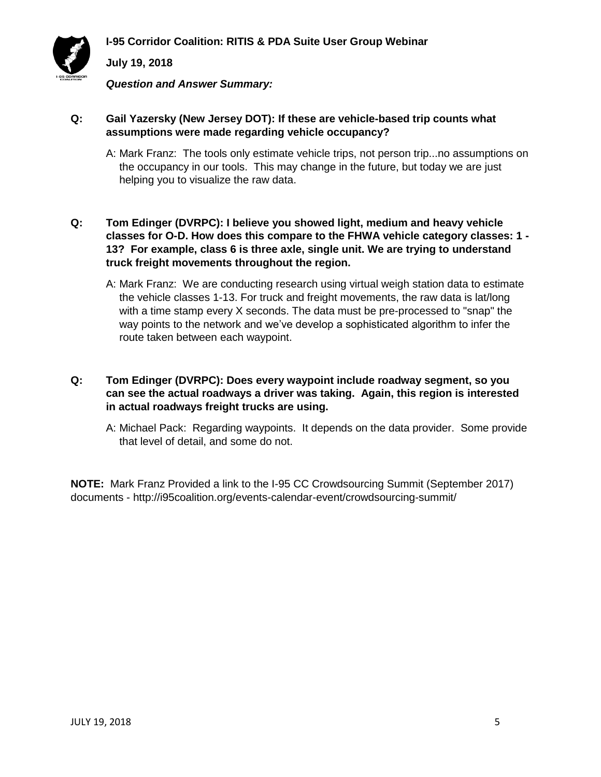

*Question and Answer Summary:*

## **Q: Gail Yazersky (New Jersey DOT): If these are vehicle-based trip counts what assumptions were made regarding vehicle occupancy?**

A: Mark Franz: The tools only estimate vehicle trips, not person trip...no assumptions on the occupancy in our tools. This may change in the future, but today we are just helping you to visualize the raw data.

### **Q: Tom Edinger (DVRPC): I believe you showed light, medium and heavy vehicle classes for O-D. How does this compare to the FHWA vehicle category classes: 1 - 13? For example, class 6 is three axle, single unit. We are trying to understand truck freight movements throughout the region.**

A: Mark Franz: We are conducting research using virtual weigh station data to estimate the vehicle classes 1-13. For truck and freight movements, the raw data is lat/long with a time stamp every X seconds. The data must be pre-processed to "snap" the way points to the network and we've develop a sophisticated algorithm to infer the route taken between each waypoint.

### **Q: Tom Edinger (DVRPC): Does every waypoint include roadway segment, so you can see the actual roadways a driver was taking. Again, this region is interested in actual roadways freight trucks are using.**

A: Michael Pack: Regarding waypoints. It depends on the data provider. Some provide that level of detail, and some do not.

**NOTE:** Mark Franz Provided a link to the I-95 CC Crowdsourcing Summit (September 2017) documents - http://i95coalition.org/events-calendar-event/crowdsourcing-summit/